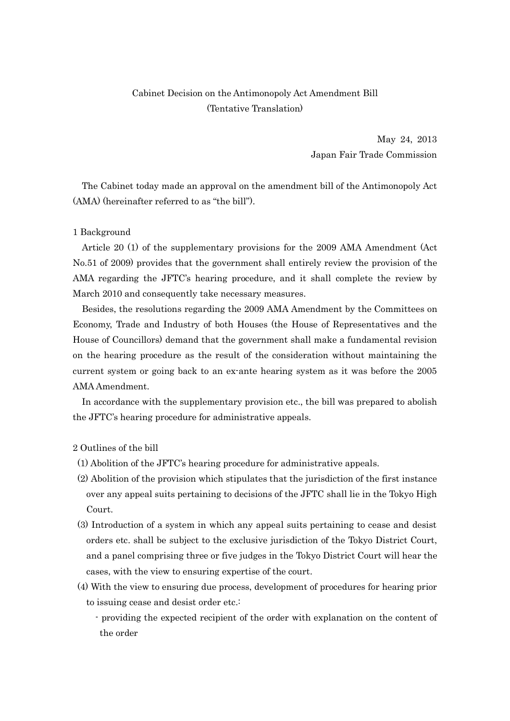## Cabinet Decision on the Antimonopoly Act Amendment Bill (Tentative Translation)

May 24, 2013 Japan Fair Trade Commission

 The Cabinet today made an approval on the amendment bill of the Antimonopoly Act (AMA) (hereinafter referred to as "the bill").

## 1 Background

 Article 20 (1) of the supplementary provisions for the 2009 AMA Amendment (Act No.51 of 2009) provides that the government shall entirely review the provision of the AMA regarding the JFTC's hearing procedure, and it shall complete the review by March 2010 and consequently take necessary measures.

 Besides, the resolutions regarding the 2009 AMA Amendment by the Committees on Economy, Trade and Industry of both Houses (the House of Representatives and the House of Councillors) demand that the government shall make a fundamental revision on the hearing procedure as the result of the consideration without maintaining the current system or going back to an ex-ante hearing system as it was before the 2005 AMA Amendment.

 In accordance with the supplementary provision etc., the bill was prepared to abolish the JFTC's hearing procedure for administrative appeals.

2 Outlines of the bill

- (1) Abolition of the JFTC's hearing procedure for administrative appeals.
- (2) Abolition of the provision which stipulates that the jurisdiction of the first instance over any appeal suits pertaining to decisions of the JFTC shall lie in the Tokyo High Court.
- (3) Introduction of a system in which any appeal suits pertaining to cease and desist orders etc. shall be subject to the exclusive jurisdiction of the Tokyo District Court, and a panel comprising three or five judges in the Tokyo District Court will hear the cases, with the view to ensuring expertise of the court.
- (4) With the view to ensuring due process, development of procedures for hearing prior to issuing cease and desist order etc.:
	- providing the expected recipient of the order with explanation on the content of the order